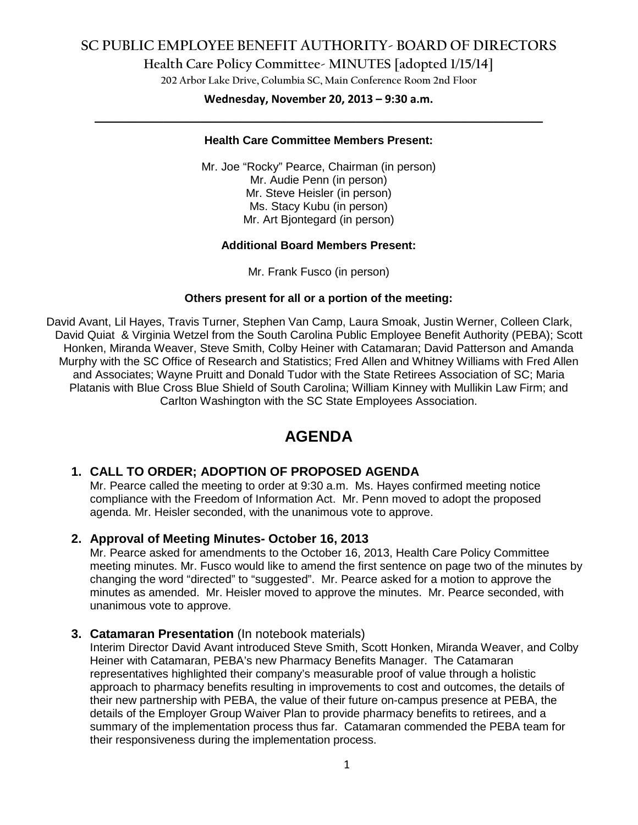## **SC PUBLIC EMPLOYEE BENEFIT AUTHORITY- BOARD OF DIRECTORS**

**Health Care Policy Committee- MINUTES [adopted 1/15/14]**

**202 Arbor Lake Drive, Columbia SC, Main Conference Room 2nd Floor**

# **Wednesday, November 20, 2013 – 9:30 a.m. \_\_\_\_\_\_\_\_\_\_\_\_\_\_\_\_\_\_\_\_\_\_\_\_\_\_\_\_\_\_\_\_\_\_\_\_\_\_\_\_\_\_\_\_\_\_\_\_\_\_\_\_\_\_\_\_\_\_\_\_\_\_\_\_\_\_\_\_\_\_\_\_**

#### **Health Care Committee Members Present:**

Mr. Joe "Rocky" Pearce, Chairman (in person) Mr. Audie Penn (in person) Mr. Steve Heisler (in person) Ms. Stacy Kubu (in person) Mr. Art Bjontegard (in person)

### **Additional Board Members Present:**

Mr. Frank Fusco (in person)

### **Others present for all or a portion of the meeting:**

David Avant, Lil Hayes, Travis Turner, Stephen Van Camp, Laura Smoak, Justin Werner, Colleen Clark, David Quiat & Virginia Wetzel from the South Carolina Public Employee Benefit Authority (PEBA); Scott Honken, Miranda Weaver, Steve Smith, Colby Heiner with Catamaran; David Patterson and Amanda Murphy with the SC Office of Research and Statistics; Fred Allen and Whitney Williams with Fred Allen and Associates; Wayne Pruitt and Donald Tudor with the State Retirees Association of SC; Maria Platanis with Blue Cross Blue Shield of South Carolina; William Kinney with Mullikin Law Firm; and Carlton Washington with the SC State Employees Association.

# **AGENDA**

### **1. CALL TO ORDER; ADOPTION OF PROPOSED AGENDA**

Mr. Pearce called the meeting to order at 9:30 a.m. Ms. Hayes confirmed meeting notice compliance with the Freedom of Information Act. Mr. Penn moved to adopt the proposed agenda. Mr. Heisler seconded, with the unanimous vote to approve.

### **2. Approval of Meeting Minutes- October 16, 2013**

Mr. Pearce asked for amendments to the October 16, 2013, Health Care Policy Committee meeting minutes. Mr. Fusco would like to amend the first sentence on page two of the minutes by changing the word "directed" to "suggested". Mr. Pearce asked for a motion to approve the minutes as amended. Mr. Heisler moved to approve the minutes. Mr. Pearce seconded, with unanimous vote to approve.

### **3. Catamaran Presentation** (In notebook materials)

Interim Director David Avant introduced Steve Smith, Scott Honken, Miranda Weaver, and Colby Heiner with Catamaran, PEBA's new Pharmacy Benefits Manager. The Catamaran representatives highlighted their company's measurable proof of value through a holistic approach to pharmacy benefits resulting in improvements to cost and outcomes, the details of their new partnership with PEBA, the value of their future on-campus presence at PEBA, the details of the Employer Group Waiver Plan to provide pharmacy benefits to retirees, and a summary of the implementation process thus far. Catamaran commended the PEBA team for their responsiveness during the implementation process.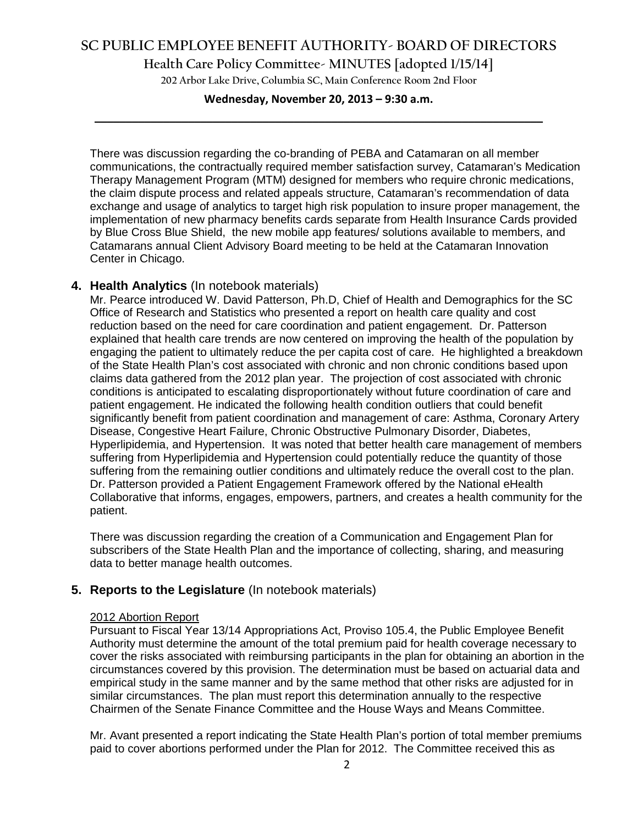### **SC PUBLIC EMPLOYEE BENEFIT AUTHORITY- BOARD OF DIRECTORS**

**Health Care Policy Committee- MINUTES [adopted 1/15/14]**

**202 Arbor Lake Drive, Columbia SC, Main Conference Room 2nd Floor**

# **Wednesday, November 20, 2013 – 9:30 a.m. \_\_\_\_\_\_\_\_\_\_\_\_\_\_\_\_\_\_\_\_\_\_\_\_\_\_\_\_\_\_\_\_\_\_\_\_\_\_\_\_\_\_\_\_\_\_\_\_\_\_\_\_\_\_\_\_\_\_\_\_\_\_\_\_\_\_\_\_\_\_\_\_**

There was discussion regarding the co-branding of PEBA and Catamaran on all member communications, the contractually required member satisfaction survey, Catamaran's Medication Therapy Management Program (MTM) designed for members who require chronic medications, the claim dispute process and related appeals structure, Catamaran's recommendation of data exchange and usage of analytics to target high risk population to insure proper management, the implementation of new pharmacy benefits cards separate from Health Insurance Cards provided by Blue Cross Blue Shield, the new mobile app features/ solutions available to members, and Catamarans annual Client Advisory Board meeting to be held at the Catamaran Innovation Center in Chicago.

### **4. Health Analytics** (In notebook materials)

Mr. Pearce introduced W. David Patterson, Ph.D, Chief of Health and Demographics for the SC Office of Research and Statistics who presented a report on health care quality and cost reduction based on the need for care coordination and patient engagement. Dr. Patterson explained that health care trends are now centered on improving the health of the population by engaging the patient to ultimately reduce the per capita cost of care. He highlighted a breakdown of the State Health Plan's cost associated with chronic and non chronic conditions based upon claims data gathered from the 2012 plan year. The projection of cost associated with chronic conditions is anticipated to escalating disproportionately without future coordination of care and patient engagement. He indicated the following health condition outliers that could benefit significantly benefit from patient coordination and management of care: Asthma, Coronary Artery Disease, Congestive Heart Failure, Chronic Obstructive Pulmonary Disorder, Diabetes, Hyperlipidemia, and Hypertension. It was noted that better health care management of members suffering from Hyperlipidemia and Hypertension could potentially reduce the quantity of those suffering from the remaining outlier conditions and ultimately reduce the overall cost to the plan. Dr. Patterson provided a Patient Engagement Framework offered by the National eHealth Collaborative that informs, engages, empowers, partners, and creates a health community for the patient.

There was discussion regarding the creation of a Communication and Engagement Plan for subscribers of the State Health Plan and the importance of collecting, sharing, and measuring data to better manage health outcomes.

### **5. Reports to the Legislature** (In notebook materials)

#### 2012 Abortion Report

Pursuant to Fiscal Year 13/14 Appropriations Act, Proviso 105.4, the Public Employee Benefit Authority must determine the amount of the total premium paid for health coverage necessary to cover the risks associated with reimbursing participants in the plan for obtaining an abortion in the circumstances covered by this provision. The determination must be based on actuarial data and empirical study in the same manner and by the same method that other risks are adjusted for in similar circumstances. The plan must report this determination annually to the respective Chairmen of the Senate Finance Committee and the House Ways and Means Committee.

Mr. Avant presented a report indicating the State Health Plan's portion of total member premiums paid to cover abortions performed under the Plan for 2012. The Committee received this as